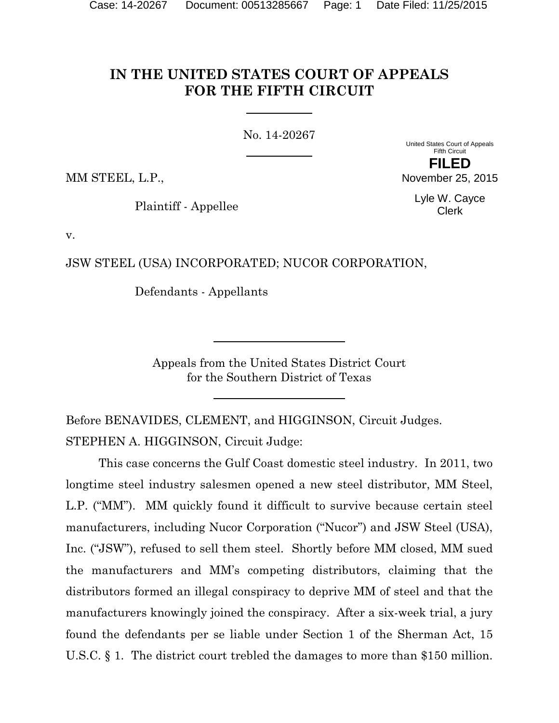# **IN THE UNITED STATES COURT OF APPEALS FOR THE FIFTH CIRCUIT**

No. 14-20267

United States Court of Appeals Fifth Circuit

**FILED** November 25, 2015

MM STEEL, L.P.,

Plaintiff - Appellee

Lyle W. Cayce Clerk

v.

JSW STEEL (USA) INCORPORATED; NUCOR CORPORATION,

Defendants - Appellants

Appeals from the United States District Court for the Southern District of Texas

Before BENAVIDES, CLEMENT, and HIGGINSON, Circuit Judges. STEPHEN A. HIGGINSON, Circuit Judge:

This case concerns the Gulf Coast domestic steel industry. In 2011, two longtime steel industry salesmen opened a new steel distributor, MM Steel, L.P. ("MM"). MM quickly found it difficult to survive because certain steel manufacturers, including Nucor Corporation ("Nucor") and JSW Steel (USA), Inc. ("JSW"), refused to sell them steel. Shortly before MM closed, MM sued the manufacturers and MM's competing distributors, claiming that the distributors formed an illegal conspiracy to deprive MM of steel and that the manufacturers knowingly joined the conspiracy. After a six-week trial, a jury found the defendants per se liable under Section 1 of the Sherman Act, 15 U.S.C. § 1. The district court trebled the damages to more than \$150 million.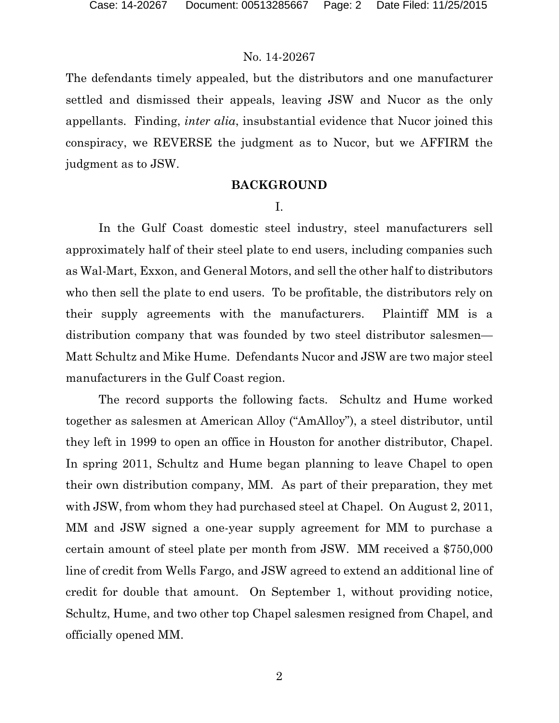The defendants timely appealed, but the distributors and one manufacturer settled and dismissed their appeals, leaving JSW and Nucor as the only appellants. Finding, *inter alia*, insubstantial evidence that Nucor joined this conspiracy, we REVERSE the judgment as to Nucor, but we AFFIRM the judgment as to JSW.

## **BACKGROUND**

## I.

In the Gulf Coast domestic steel industry, steel manufacturers sell approximately half of their steel plate to end users, including companies such as Wal-Mart, Exxon, and General Motors, and sell the other half to distributors who then sell the plate to end users. To be profitable, the distributors rely on their supply agreements with the manufacturers. Plaintiff MM is a distribution company that was founded by two steel distributor salesmen— Matt Schultz and Mike Hume. Defendants Nucor and JSW are two major steel manufacturers in the Gulf Coast region.

The record supports the following facts. Schultz and Hume worked together as salesmen at American Alloy ("AmAlloy"), a steel distributor, until they left in 1999 to open an office in Houston for another distributor, Chapel. In spring 2011, Schultz and Hume began planning to leave Chapel to open their own distribution company, MM. As part of their preparation, they met with JSW, from whom they had purchased steel at Chapel. On August 2, 2011, MM and JSW signed a one-year supply agreement for MM to purchase a certain amount of steel plate per month from JSW. MM received a \$750,000 line of credit from Wells Fargo, and JSW agreed to extend an additional line of credit for double that amount. On September 1, without providing notice, Schultz, Hume, and two other top Chapel salesmen resigned from Chapel, and officially opened MM.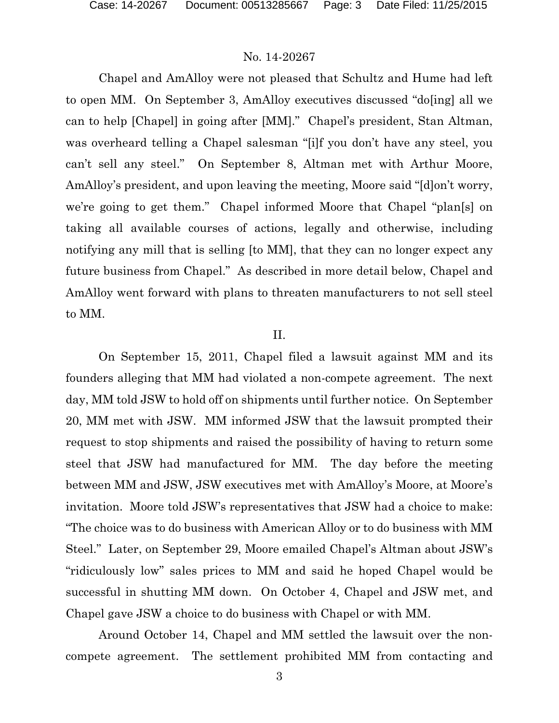Chapel and AmAlloy were not pleased that Schultz and Hume had left to open MM. On September 3, AmAlloy executives discussed "do[ing] all we can to help [Chapel] in going after [MM]." Chapel's president, Stan Altman, was overheard telling a Chapel salesman "[i]f you don't have any steel, you can't sell any steel." On September 8, Altman met with Arthur Moore, AmAlloy's president, and upon leaving the meeting, Moore said "[d]on't worry, we're going to get them." Chapel informed Moore that Chapel "plan[s] on taking all available courses of actions, legally and otherwise, including notifying any mill that is selling [to MM], that they can no longer expect any future business from Chapel." As described in more detail below, Chapel and AmAlloy went forward with plans to threaten manufacturers to not sell steel to MM.

#### II.

On September 15, 2011, Chapel filed a lawsuit against MM and its founders alleging that MM had violated a non-compete agreement. The next day, MM told JSW to hold off on shipments until further notice. On September 20, MM met with JSW. MM informed JSW that the lawsuit prompted their request to stop shipments and raised the possibility of having to return some steel that JSW had manufactured for MM. The day before the meeting between MM and JSW, JSW executives met with AmAlloy's Moore, at Moore's invitation. Moore told JSW's representatives that JSW had a choice to make: "The choice was to do business with American Alloy or to do business with MM Steel." Later, on September 29, Moore emailed Chapel's Altman about JSW's "ridiculously low" sales prices to MM and said he hoped Chapel would be successful in shutting MM down. On October 4, Chapel and JSW met, and Chapel gave JSW a choice to do business with Chapel or with MM.

Around October 14, Chapel and MM settled the lawsuit over the noncompete agreement. The settlement prohibited MM from contacting and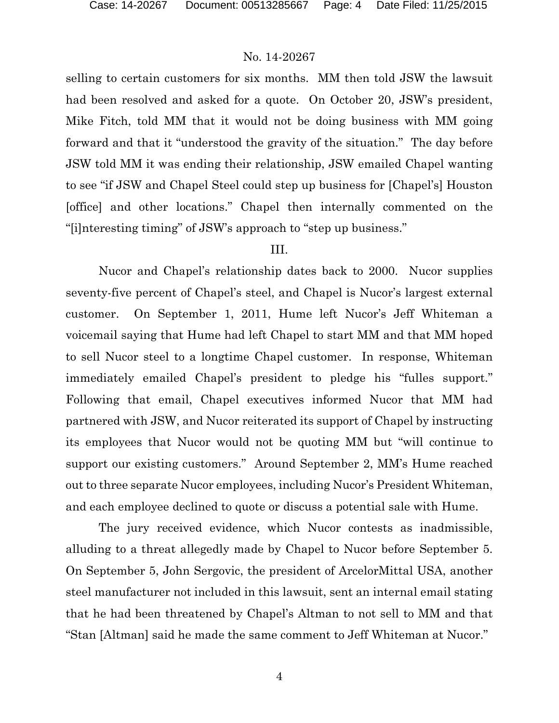selling to certain customers for six months. MM then told JSW the lawsuit had been resolved and asked for a quote. On October 20, JSW's president, Mike Fitch, told MM that it would not be doing business with MM going forward and that it "understood the gravity of the situation." The day before JSW told MM it was ending their relationship, JSW emailed Chapel wanting to see "if JSW and Chapel Steel could step up business for [Chapel's] Houston [office] and other locations." Chapel then internally commented on the "[i]nteresting timing" of JSW's approach to "step up business."

#### III.

Nucor and Chapel's relationship dates back to 2000. Nucor supplies seventy-five percent of Chapel's steel, and Chapel is Nucor's largest external customer. On September 1, 2011, Hume left Nucor's Jeff Whiteman a voicemail saying that Hume had left Chapel to start MM and that MM hoped to sell Nucor steel to a longtime Chapel customer. In response, Whiteman immediately emailed Chapel's president to pledge his "fulles support." Following that email, Chapel executives informed Nucor that MM had partnered with JSW, and Nucor reiterated its support of Chapel by instructing its employees that Nucor would not be quoting MM but "will continue to support our existing customers." Around September 2, MM's Hume reached out to three separate Nucor employees, including Nucor's President Whiteman, and each employee declined to quote or discuss a potential sale with Hume.

The jury received evidence, which Nucor contests as inadmissible, alluding to a threat allegedly made by Chapel to Nucor before September 5. On September 5, John Sergovic, the president of ArcelorMittal USA, another steel manufacturer not included in this lawsuit, sent an internal email stating that he had been threatened by Chapel's Altman to not sell to MM and that "Stan [Altman] said he made the same comment to Jeff Whiteman at Nucor."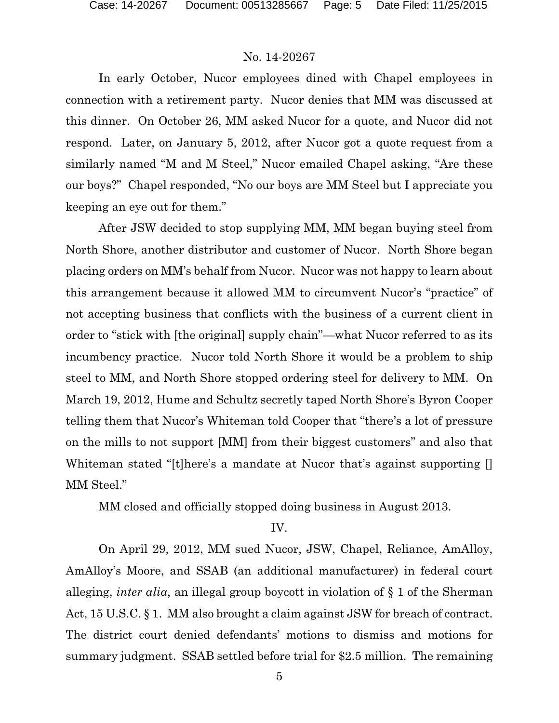In early October, Nucor employees dined with Chapel employees in connection with a retirement party. Nucor denies that MM was discussed at this dinner. On October 26, MM asked Nucor for a quote, and Nucor did not respond. Later, on January 5, 2012, after Nucor got a quote request from a similarly named "M and M Steel," Nucor emailed Chapel asking, "Are these our boys?" Chapel responded, "No our boys are MM Steel but I appreciate you keeping an eye out for them."

After JSW decided to stop supplying MM, MM began buying steel from North Shore, another distributor and customer of Nucor. North Shore began placing orders on MM's behalf from Nucor. Nucor was not happy to learn about this arrangement because it allowed MM to circumvent Nucor's "practice" of not accepting business that conflicts with the business of a current client in order to "stick with [the original] supply chain"—what Nucor referred to as its incumbency practice. Nucor told North Shore it would be a problem to ship steel to MM, and North Shore stopped ordering steel for delivery to MM. On March 19, 2012, Hume and Schultz secretly taped North Shore's Byron Cooper telling them that Nucor's Whiteman told Cooper that "there's a lot of pressure on the mills to not support [MM] from their biggest customers" and also that Whiteman stated "[t]here's a mandate at Nucor that's against supporting [] MM Steel."

MM closed and officially stopped doing business in August 2013.

IV.

On April 29, 2012, MM sued Nucor, JSW, Chapel, Reliance, AmAlloy, AmAlloy's Moore, and SSAB (an additional manufacturer) in federal court alleging, *inter alia*, an illegal group boycott in violation of § 1 of the Sherman Act, 15 U.S.C. § 1. MM also brought a claim against JSW for breach of contract. The district court denied defendants' motions to dismiss and motions for summary judgment. SSAB settled before trial for \$2.5 million. The remaining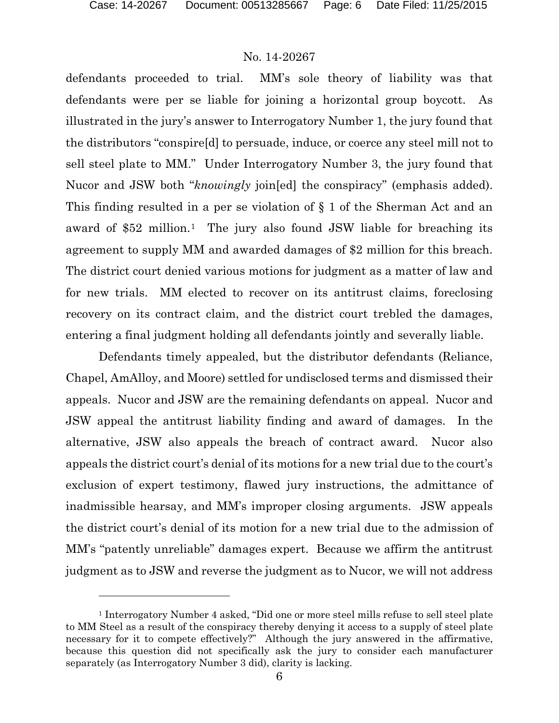l

### No. 14-20267

defendants proceeded to trial. MM's sole theory of liability was that defendants were per se liable for joining a horizontal group boycott. As illustrated in the jury's answer to Interrogatory Number 1, the jury found that the distributors "conspire[d] to persuade, induce, or coerce any steel mill not to sell steel plate to MM." Under Interrogatory Number 3, the jury found that Nucor and JSW both "*knowingly* join[ed] the conspiracy" (emphasis added). This finding resulted in a per se violation of § 1 of the Sherman Act and an award of \$52 million.[1](#page-5-0) The jury also found JSW liable for breaching its agreement to supply MM and awarded damages of \$2 million for this breach. The district court denied various motions for judgment as a matter of law and for new trials. MM elected to recover on its antitrust claims, foreclosing recovery on its contract claim, and the district court trebled the damages, entering a final judgment holding all defendants jointly and severally liable.

Defendants timely appealed, but the distributor defendants (Reliance, Chapel, AmAlloy, and Moore) settled for undisclosed terms and dismissed their appeals. Nucor and JSW are the remaining defendants on appeal. Nucor and JSW appeal the antitrust liability finding and award of damages. In the alternative, JSW also appeals the breach of contract award. Nucor also appeals the district court's denial of its motions for a new trial due to the court's exclusion of expert testimony, flawed jury instructions, the admittance of inadmissible hearsay, and MM's improper closing arguments. JSW appeals the district court's denial of its motion for a new trial due to the admission of MM's "patently unreliable" damages expert. Because we affirm the antitrust judgment as to JSW and reverse the judgment as to Nucor, we will not address

<span id="page-5-0"></span><sup>1</sup> Interrogatory Number 4 asked, "Did one or more steel mills refuse to sell steel plate to MM Steel as a result of the conspiracy thereby denying it access to a supply of steel plate necessary for it to compete effectively?" Although the jury answered in the affirmative, because this question did not specifically ask the jury to consider each manufacturer separately (as Interrogatory Number 3 did), clarity is lacking.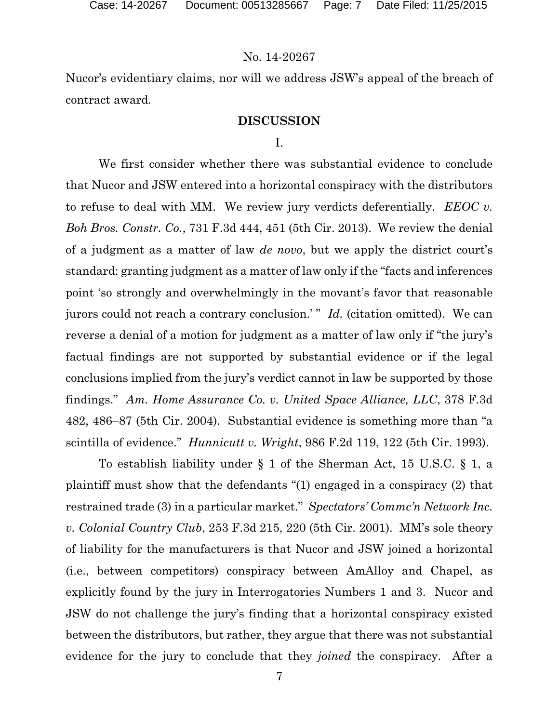Nucor's evidentiary claims, nor will we address JSW's appeal of the breach of contract award.

## **DISCUSSION**

## I.

We first consider whether there was substantial evidence to conclude that Nucor and JSW entered into a horizontal conspiracy with the distributors to refuse to deal with MM. We review jury verdicts deferentially. *EEOC v. Boh Bros. Constr. Co.*, 731 F.3d 444, 451 (5th Cir. 2013). We review the denial of a judgment as a matter of law *de novo*, but we apply the district court's standard: granting judgment as a matter of law only if the "facts and inferences point 'so strongly and overwhelmingly in the movant's favor that reasonable jurors could not reach a contrary conclusion.'" *Id.* (citation omitted). We can reverse a denial of a motion for judgment as a matter of law only if "the jury's factual findings are not supported by substantial evidence or if the legal conclusions implied from the jury's verdict cannot in law be supported by those findings." *Am. Home Assurance Co. v. United Space Alliance, LLC*, 378 F.3d 482, 486–87 (5th Cir. 2004). Substantial evidence is something more than "a scintilla of evidence." *Hunnicutt v. Wright*, 986 F.2d 119, 122 (5th Cir. 1993).

To establish liability under § 1 of the Sherman Act, 15 U.S.C. § 1, a plaintiff must show that the defendants "(1) engaged in a conspiracy (2) that restrained trade (3) in a particular market." *Spectators' Commc'n Network Inc. v. Colonial Country Club*, 253 F.3d 215, 220 (5th Cir. 2001). MM's sole theory of liability for the manufacturers is that Nucor and JSW joined a horizontal (i.e., between competitors) conspiracy between AmAlloy and Chapel, as explicitly found by the jury in Interrogatories Numbers 1 and 3. Nucor and JSW do not challenge the jury's finding that a horizontal conspiracy existed between the distributors, but rather, they argue that there was not substantial evidence for the jury to conclude that they *joined* the conspiracy. After a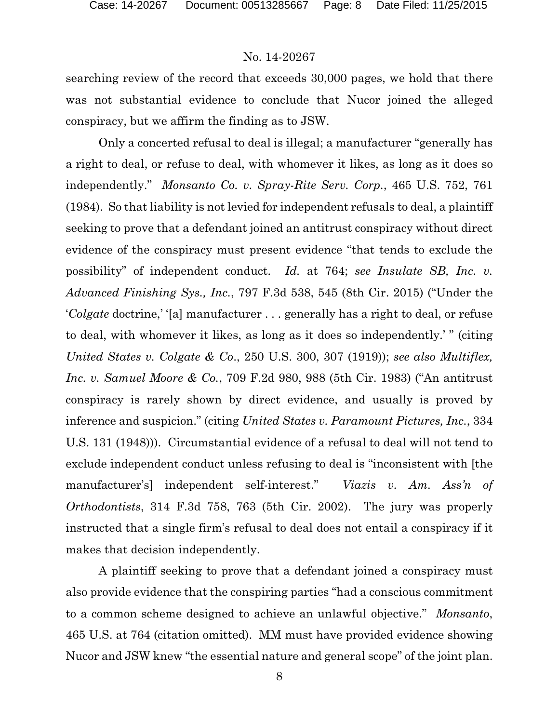searching review of the record that exceeds 30,000 pages, we hold that there was not substantial evidence to conclude that Nucor joined the alleged conspiracy, but we affirm the finding as to JSW.

Only a concerted refusal to deal is illegal; a manufacturer "generally has a right to deal, or refuse to deal, with whomever it likes, as long as it does so independently." *Monsanto Co. v. Spray-Rite Serv. Corp.*, 465 U.S. 752, 761 (1984). So that liability is not levied for independent refusals to deal, a plaintiff seeking to prove that a defendant joined an antitrust conspiracy without direct evidence of the conspiracy must present evidence "that tends to exclude the possibility" of independent conduct. *Id.* at 764; *see Insulate SB, Inc. v. Advanced Finishing Sys., Inc.*, 797 F.3d 538, 545 (8th Cir. 2015) ("Under the '*Colgate* doctrine,' '[a] manufacturer . . . generally has a right to deal, or refuse to deal, with whomever it likes, as long as it does so independently.' " (citing *United States v. Colgate & Co*., 250 U.S. 300, 307 (1919)); *see also Multiflex, Inc. v. Samuel Moore & Co.*, 709 F.2d 980, 988 (5th Cir. 1983) ("An antitrust conspiracy is rarely shown by direct evidence, and usually is proved by inference and suspicion." (citing *United States v. Paramount Pictures, Inc.*, 334 U.S. 131 (1948))). Circumstantial evidence of a refusal to deal will not tend to exclude independent conduct unless refusing to deal is "inconsistent with [the manufacturer's] independent self-interest." *Viazis v. Am. Ass'n of Orthodontists*, 314 F.3d 758, 763 (5th Cir. 2002). The jury was properly instructed that a single firm's refusal to deal does not entail a conspiracy if it makes that decision independently.

A plaintiff seeking to prove that a defendant joined a conspiracy must also provide evidence that the conspiring parties "had a conscious commitment to a common scheme designed to achieve an unlawful objective." *Monsanto*, 465 U.S. at 764 (citation omitted). MM must have provided evidence showing Nucor and JSW knew "the essential nature and general scope" of the joint plan.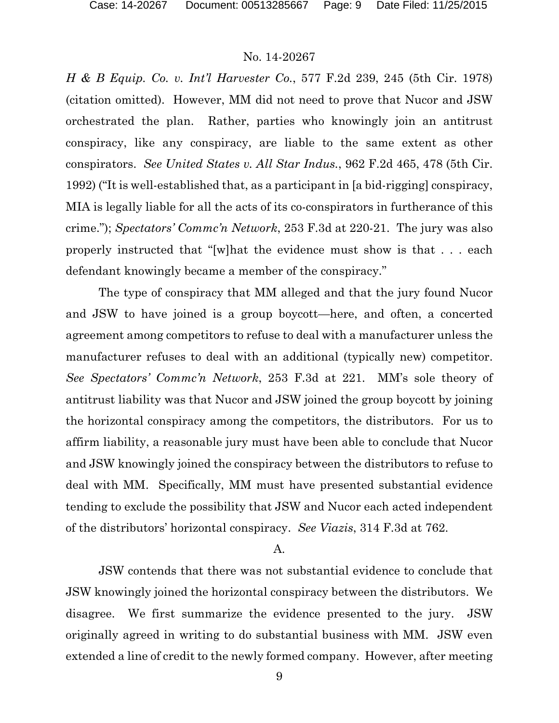*H & B Equip. Co. v. Int'l Harvester Co.*, 577 F.2d 239, 245 (5th Cir. 1978) (citation omitted). However, MM did not need to prove that Nucor and JSW orchestrated the plan. Rather, parties who knowingly join an antitrust conspiracy, like any conspiracy, are liable to the same extent as other conspirators. *See United States v. All Star Indus.*, 962 F.2d 465, 478 (5th Cir. 1992) ("It is well-established that, as a participant in [a bid-rigging] conspiracy, MIA is legally liable for all the acts of its co-conspirators in furtherance of this crime."); *Spectators' Commc'n Network*, 253 F.3d at 220-21. The jury was also properly instructed that "[w]hat the evidence must show is that . . . each defendant knowingly became a member of the conspiracy."

The type of conspiracy that MM alleged and that the jury found Nucor and JSW to have joined is a group boycott—here, and often, a concerted agreement among competitors to refuse to deal with a manufacturer unless the manufacturer refuses to deal with an additional (typically new) competitor. *See Spectators' Commc'n Network*, 253 F.3d at 221. MM's sole theory of antitrust liability was that Nucor and JSW joined the group boycott by joining the horizontal conspiracy among the competitors, the distributors. For us to affirm liability, a reasonable jury must have been able to conclude that Nucor and JSW knowingly joined the conspiracy between the distributors to refuse to deal with MM. Specifically, MM must have presented substantial evidence tending to exclude the possibility that JSW and Nucor each acted independent of the distributors' horizontal conspiracy. *See Viazis*, 314 F.3d at 762.

#### A.

JSW contends that there was not substantial evidence to conclude that JSW knowingly joined the horizontal conspiracy between the distributors. We disagree. We first summarize the evidence presented to the jury. JSW originally agreed in writing to do substantial business with MM. JSW even extended a line of credit to the newly formed company. However, after meeting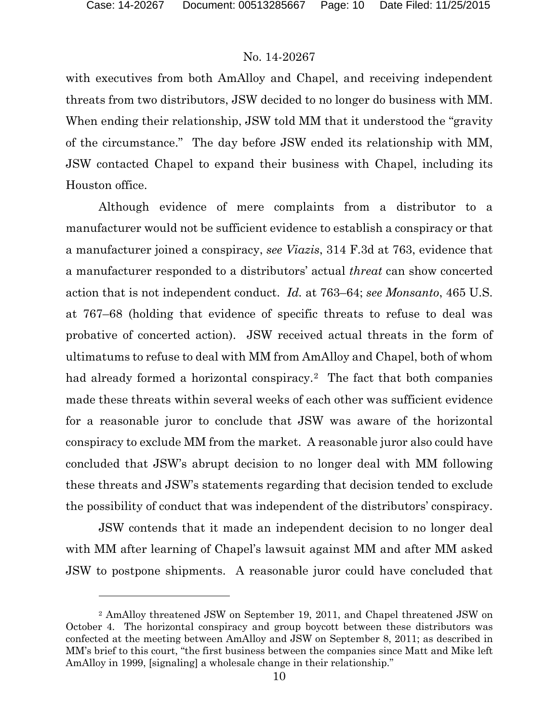l

### No. 14-20267

with executives from both AmAlloy and Chapel, and receiving independent threats from two distributors, JSW decided to no longer do business with MM. When ending their relationship, JSW told MM that it understood the "gravity of the circumstance." The day before JSW ended its relationship with MM, JSW contacted Chapel to expand their business with Chapel, including its Houston office.

Although evidence of mere complaints from a distributor to a manufacturer would not be sufficient evidence to establish a conspiracy or that a manufacturer joined a conspiracy, *see Viazis*, 314 F.3d at 763, evidence that a manufacturer responded to a distributors' actual *threat* can show concerted action that is not independent conduct. *Id.* at 763–64; *see Monsanto*, 465 U.S. at 767–68 (holding that evidence of specific threats to refuse to deal was probative of concerted action).JSW received actual threats in the form of ultimatums to refuse to deal with MM from AmAlloy and Chapel, both of whom had already formed a horizontal conspiracy.<sup>2</sup> The fact that both companies made these threats within several weeks of each other was sufficient evidence for a reasonable juror to conclude that JSW was aware of the horizontal conspiracy to exclude MM from the market. A reasonable juror also could have concluded that JSW's abrupt decision to no longer deal with MM following these threats and JSW's statements regarding that decision tended to exclude the possibility of conduct that was independent of the distributors' conspiracy.

JSW contends that it made an independent decision to no longer deal with MM after learning of Chapel's lawsuit against MM and after MM asked JSW to postpone shipments. A reasonable juror could have concluded that

<span id="page-9-0"></span><sup>2</sup> AmAlloy threatened JSW on September 19, 2011, and Chapel threatened JSW on October 4. The horizontal conspiracy and group boycott between these distributors was confected at the meeting between AmAlloy and JSW on September 8, 2011; as described in MM's brief to this court, "the first business between the companies since Matt and Mike left AmAlloy in 1999, [signaling] a wholesale change in their relationship."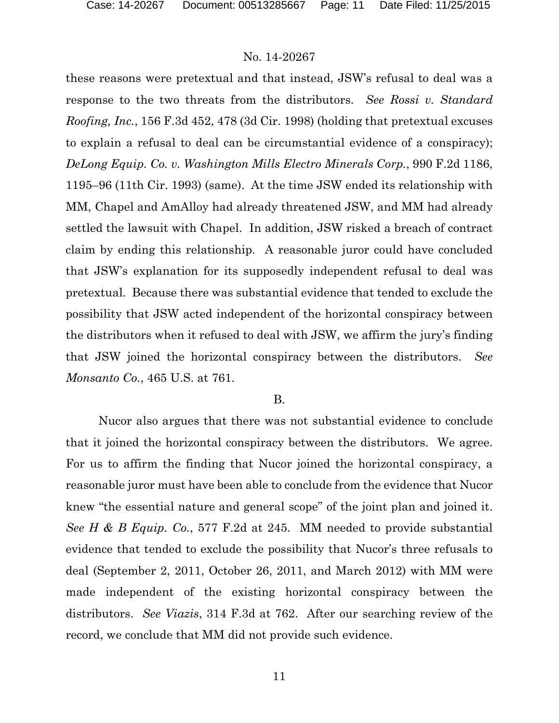these reasons were pretextual and that instead, JSW's refusal to deal was a response to the two threats from the distributors. *See Rossi v. Standard Roofing, Inc.*, 156 F.3d 452, 478 (3d Cir. 1998) (holding that pretextual excuses to explain a refusal to deal can be circumstantial evidence of a conspiracy); *DeLong Equip. Co. v. Washington Mills Electro Minerals Corp.*, 990 F.2d 1186, 1195–96 (11th Cir. 1993) (same). At the time JSW ended its relationship with MM, Chapel and AmAlloy had already threatened JSW, and MM had already settled the lawsuit with Chapel. In addition, JSW risked a breach of contract claim by ending this relationship. A reasonable juror could have concluded that JSW's explanation for its supposedly independent refusal to deal was pretextual. Because there was substantial evidence that tended to exclude the possibility that JSW acted independent of the horizontal conspiracy between the distributors when it refused to deal with JSW, we affirm the jury's finding that JSW joined the horizontal conspiracy between the distributors. *See Monsanto Co.*, 465 U.S. at 761.

#### B.

Nucor also argues that there was not substantial evidence to conclude that it joined the horizontal conspiracy between the distributors. We agree. For us to affirm the finding that Nucor joined the horizontal conspiracy, a reasonable juror must have been able to conclude from the evidence that Nucor knew "the essential nature and general scope" of the joint plan and joined it. *See H & B Equip. Co.*, 577 F.2d at 245. MM needed to provide substantial evidence that tended to exclude the possibility that Nucor's three refusals to deal (September 2, 2011, October 26, 2011, and March 2012) with MM were made independent of the existing horizontal conspiracy between the distributors. *See Viazis*, 314 F.3d at 762. After our searching review of the record, we conclude that MM did not provide such evidence.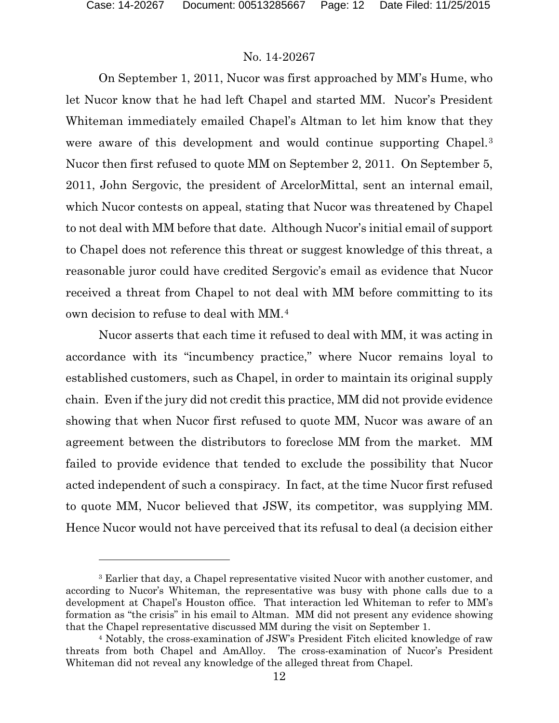$\overline{a}$ 

## No. 14-20267

On September 1, 2011, Nucor was first approached by MM's Hume, who let Nucor know that he had left Chapel and started MM. Nucor's President Whiteman immediately emailed Chapel's Altman to let him know that they were aware of this development and would continue supporting Chapel.<sup>[3](#page-11-0)</sup> Nucor then first refused to quote MM on September 2, 2011. On September 5, 2011, John Sergovic, the president of ArcelorMittal, sent an internal email, which Nucor contests on appeal, stating that Nucor was threatened by Chapel to not deal with MM before that date. Although Nucor's initial email of support to Chapel does not reference this threat or suggest knowledge of this threat, a reasonable juror could have credited Sergovic's email as evidence that Nucor received a threat from Chapel to not deal with MM before committing to its own decision to refuse to deal with MM.[4](#page-11-1)

Nucor asserts that each time it refused to deal with MM, it was acting in accordance with its "incumbency practice," where Nucor remains loyal to established customers, such as Chapel, in order to maintain its original supply chain. Even if the jury did not credit this practice, MM did not provide evidence showing that when Nucor first refused to quote MM, Nucor was aware of an agreement between the distributors to foreclose MM from the market. MM failed to provide evidence that tended to exclude the possibility that Nucor acted independent of such a conspiracy. In fact, at the time Nucor first refused to quote MM, Nucor believed that JSW, its competitor, was supplying MM. Hence Nucor would not have perceived that its refusal to deal (a decision either

<span id="page-11-0"></span><sup>3</sup> Earlier that day, a Chapel representative visited Nucor with another customer, and according to Nucor's Whiteman, the representative was busy with phone calls due to a development at Chapel's Houston office. That interaction led Whiteman to refer to MM's formation as "the crisis" in his email to Altman. MM did not present any evidence showing that the Chapel representative discussed MM during the visit on September 1.

<span id="page-11-1"></span><sup>4</sup> Notably, the cross-examination of JSW's President Fitch elicited knowledge of raw threats from both Chapel and AmAlloy. The cross-examination of Nucor's President Whiteman did not reveal any knowledge of the alleged threat from Chapel.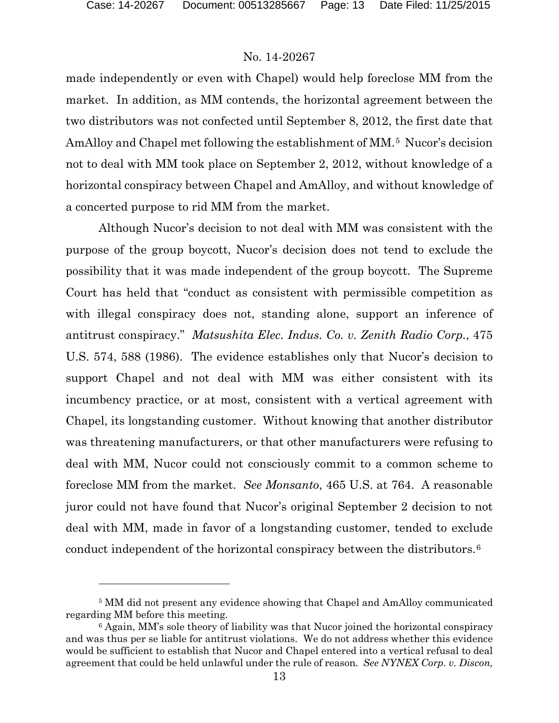$\overline{a}$ 

## No. 14-20267

made independently or even with Chapel) would help foreclose MM from the market. In addition, as MM contends, the horizontal agreement between the two distributors was not confected until September 8, 2012, the first date that AmAlloy and Chapel met following the establishment of MM.<sup>[5](#page-12-0)</sup> Nucor's decision not to deal with MM took place on September 2, 2012, without knowledge of a horizontal conspiracy between Chapel and AmAlloy, and without knowledge of a concerted purpose to rid MM from the market.

Although Nucor's decision to not deal with MM was consistent with the purpose of the group boycott, Nucor's decision does not tend to exclude the possibility that it was made independent of the group boycott. The Supreme Court has held that "conduct as consistent with permissible competition as with illegal conspiracy does not, standing alone, support an inference of antitrust conspiracy." *Matsushita Elec. Indus. Co. v. Zenith Radio Corp.*, 475 U.S. 574, 588 (1986). The evidence establishes only that Nucor's decision to support Chapel and not deal with MM was either consistent with its incumbency practice, or at most, consistent with a vertical agreement with Chapel, its longstanding customer. Without knowing that another distributor was threatening manufacturers, or that other manufacturers were refusing to deal with MM, Nucor could not consciously commit to a common scheme to foreclose MM from the market. *See Monsanto*, 465 U.S. at 764. A reasonable juror could not have found that Nucor's original September 2 decision to not deal with MM, made in favor of a longstanding customer, tended to exclude conduct independent of the horizontal conspiracy between the distributors.[6](#page-12-1)

<span id="page-12-0"></span><sup>5</sup> MM did not present any evidence showing that Chapel and AmAlloy communicated regarding MM before this meeting.

<span id="page-12-1"></span><sup>6</sup> Again, MM's sole theory of liability was that Nucor joined the horizontal conspiracy and was thus per se liable for antitrust violations. We do not address whether this evidence would be sufficient to establish that Nucor and Chapel entered into a vertical refusal to deal agreement that could be held unlawful under the rule of reason. *See NYNEX Corp. v. Discon,*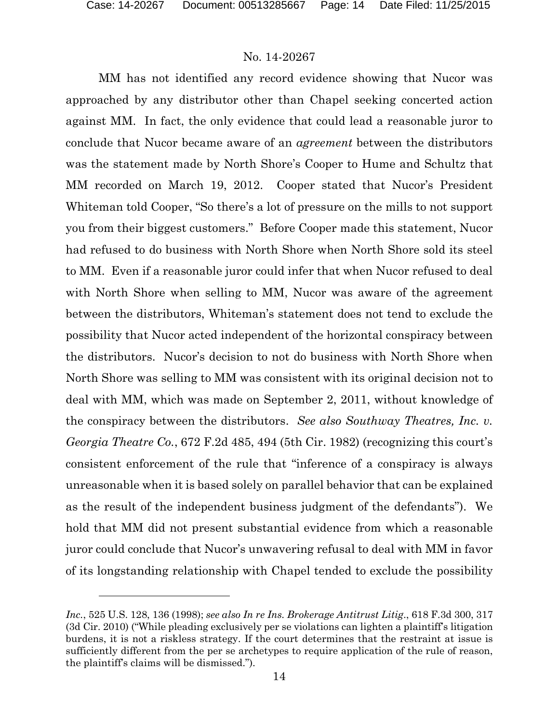l

## No. 14-20267

MM has not identified any record evidence showing that Nucor was approached by any distributor other than Chapel seeking concerted action against MM. In fact, the only evidence that could lead a reasonable juror to conclude that Nucor became aware of an *agreement* between the distributors was the statement made by North Shore's Cooper to Hume and Schultz that MM recorded on March 19, 2012. Cooper stated that Nucor's President Whiteman told Cooper, "So there's a lot of pressure on the mills to not support you from their biggest customers." Before Cooper made this statement, Nucor had refused to do business with North Shore when North Shore sold its steel to MM. Even if a reasonable juror could infer that when Nucor refused to deal with North Shore when selling to MM, Nucor was aware of the agreement between the distributors, Whiteman's statement does not tend to exclude the possibility that Nucor acted independent of the horizontal conspiracy between the distributors. Nucor's decision to not do business with North Shore when North Shore was selling to MM was consistent with its original decision not to deal with MM, which was made on September 2, 2011, without knowledge of the conspiracy between the distributors. *See also Southway Theatres, Inc. v. Georgia Theatre Co.*, 672 F.2d 485, 494 (5th Cir. 1982) (recognizing this court's consistent enforcement of the rule that "inference of a conspiracy is always unreasonable when it is based solely on parallel behavior that can be explained as the result of the independent business judgment of the defendants"). We hold that MM did not present substantial evidence from which a reasonable juror could conclude that Nucor's unwavering refusal to deal with MM in favor of its longstanding relationship with Chapel tended to exclude the possibility

*Inc.*, 525 U.S. 128, 136 (1998); *see also In re Ins. Brokerage Antitrust Litig*., 618 F.3d 300, 317 (3d Cir. 2010) ("While pleading exclusively per se violations can lighten a plaintiff's litigation burdens, it is not a riskless strategy. If the court determines that the restraint at issue is sufficiently different from the per se archetypes to require application of the rule of reason, the plaintiff's claims will be dismissed.").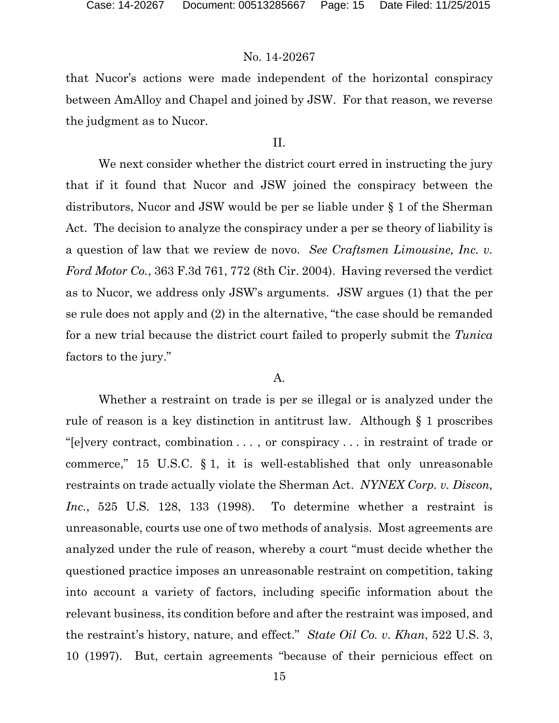that Nucor's actions were made independent of the horizontal conspiracy between AmAlloy and Chapel and joined by JSW. For that reason, we reverse the judgment as to Nucor.

## II.

We next consider whether the district court erred in instructing the jury that if it found that Nucor and JSW joined the conspiracy between the distributors, Nucor and JSW would be per se liable under § 1 of the Sherman Act. The decision to analyze the conspiracy under a per se theory of liability is a question of law that we review de novo. *See Craftsmen Limousine, Inc. v. Ford Motor Co.*, 363 F.3d 761, 772 (8th Cir. 2004). Having reversed the verdict as to Nucor, we address only JSW's arguments. JSW argues (1) that the per se rule does not apply and (2) in the alternative, "the case should be remanded for a new trial because the district court failed to properly submit the *Tunica* factors to the jury."

#### A.

Whether a restraint on trade is per se illegal or is analyzed under the rule of reason is a key distinction in antitrust law. Although § 1 proscribes "[e]very contract, combination . . . , or conspiracy . . . in restraint of trade or commerce," 15 U.S.C. § 1, it is well-established that only unreasonable restraints on trade actually violate the Sherman Act. *NYNEX Corp. v. Discon, Inc.*, 525 U.S. 128, 133 (1998). To determine whether a restraint is unreasonable, courts use one of two methods of analysis. Most agreements are analyzed under the rule of reason, whereby a court "must decide whether the questioned practice imposes an unreasonable restraint on competition, taking into account a variety of factors, including specific information about the relevant business, its condition before and after the restraint was imposed, and the restraint's history, nature, and effect." *State Oil Co. v. Khan*, 522 U.S. 3, 10 (1997). But, certain agreements "because of their pernicious effect on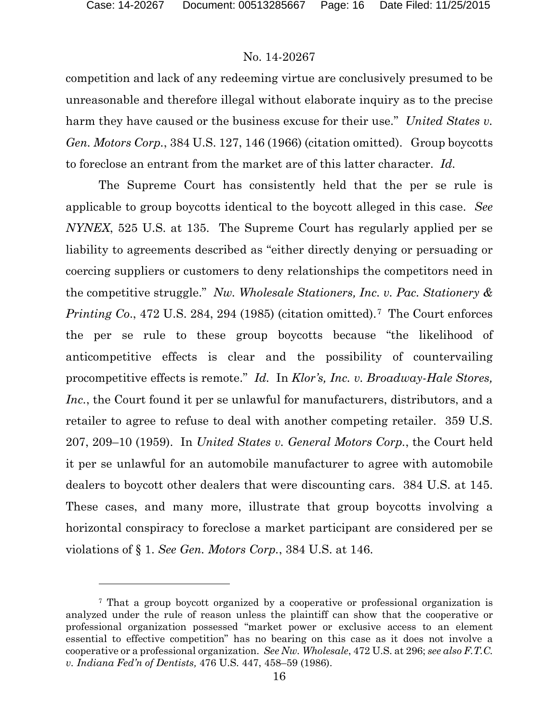$\overline{a}$ 

## No. 14-20267

competition and lack of any redeeming virtue are conclusively presumed to be unreasonable and therefore illegal without elaborate inquiry as to the precise harm they have caused or the business excuse for their use." *United States v. Gen. Motors Corp.*, 384 U.S. 127, 146 (1966) (citation omitted). Group boycotts to foreclose an entrant from the market are of this latter character. *Id.*

The Supreme Court has consistently held that the per se rule is applicable to group boycotts identical to the boycott alleged in this case. *See NYNEX*, 525 U.S. at 135. The Supreme Court has regularly applied per se liability to agreements described as "either directly denying or persuading or coercing suppliers or customers to deny relationships the competitors need in the competitive struggle." *Nw. Wholesale Stationers, Inc. v. Pac. Stationery & Printing Co.*, 4[7](#page-15-0)2 U.S. 284, 294 (1985) (citation omitted).<sup>7</sup> The Court enforces the per se rule to these group boycotts because "the likelihood of anticompetitive effects is clear and the possibility of countervailing procompetitive effects is remote." *Id.* In *Klor's, Inc. v. Broadway-Hale Stores, Inc.*, the Court found it per se unlawful for manufacturers, distributors, and a retailer to agree to refuse to deal with another competing retailer. 359 U.S. 207, 209–10 (1959). In *United States v. General Motors Corp.*, the Court held it per se unlawful for an automobile manufacturer to agree with automobile dealers to boycott other dealers that were discounting cars. 384 U.S. at 145. These cases, and many more, illustrate that group boycotts involving a horizontal conspiracy to foreclose a market participant are considered per se violations of § 1. *See Gen. Motors Corp.*, 384 U.S. at 146.

<span id="page-15-0"></span><sup>7</sup> That a group boycott organized by a cooperative or professional organization is analyzed under the rule of reason unless the plaintiff can show that the cooperative or professional organization possessed "market power or exclusive access to an element essential to effective competition" has no bearing on this case as it does not involve a cooperative or a professional organization. *See Nw. Wholesale*, 472 U.S. at 296; *see also F.T.C. v. Indiana Fed'n of Dentists,* 476 U.S. 447, 458–59 (1986).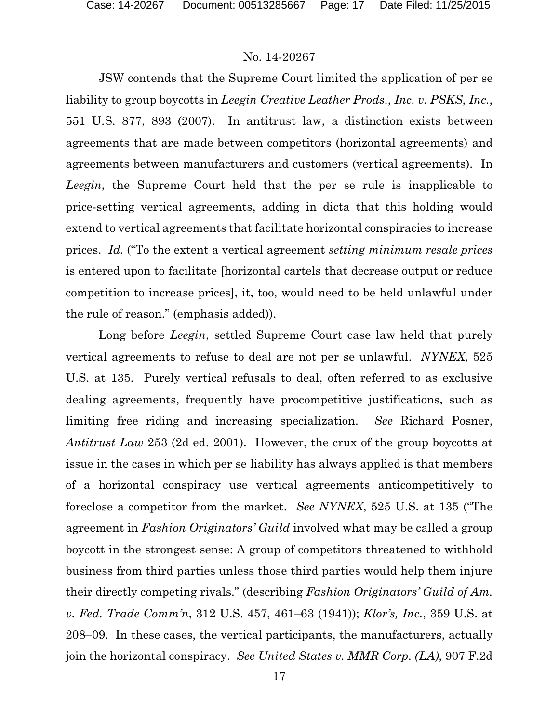JSW contends that the Supreme Court limited the application of per se liability to group boycotts in *Leegin Creative Leather Prods., Inc. v. PSKS, Inc.*, 551 U.S. 877, 893 (2007). In antitrust law, a distinction exists between agreements that are made between competitors (horizontal agreements) and agreements between manufacturers and customers (vertical agreements). In *Leegin*, the Supreme Court held that the per se rule is inapplicable to price-setting vertical agreements, adding in dicta that this holding would extend to vertical agreements that facilitate horizontal conspiracies to increase prices. *Id.* ("To the extent a vertical agreement *setting minimum resale prices* is entered upon to facilitate [horizontal cartels that decrease output or reduce competition to increase prices], it, too, would need to be held unlawful under the rule of reason." (emphasis added)).

Long before *Leegin*, settled Supreme Court case law held that purely vertical agreements to refuse to deal are not per se unlawful. *NYNEX*, 525 U.S. at 135. Purely vertical refusals to deal, often referred to as exclusive dealing agreements, frequently have procompetitive justifications, such as limiting free riding and increasing specialization. *See* Richard Posner, *Antitrust Law* 253 (2d ed. 2001). However, the crux of the group boycotts at issue in the cases in which per se liability has always applied is that members of a horizontal conspiracy use vertical agreements anticompetitively to foreclose a competitor from the market. *See NYNEX*, 525 U.S. at 135 ("The agreement in *Fashion Originators' Guild* involved what may be called a group boycott in the strongest sense: A group of competitors threatened to withhold business from third parties unless those third parties would help them injure their directly competing rivals." (describing *Fashion Originators' Guild of Am. v. Fed. Trade Comm'n*, 312 U.S. 457, 461–63 (1941)); *Klor's, Inc.*, 359 U.S. at 208–09. In these cases, the vertical participants, the manufacturers, actually join the horizontal conspiracy. *See United States v. MMR Corp. (LA)*, 907 F.2d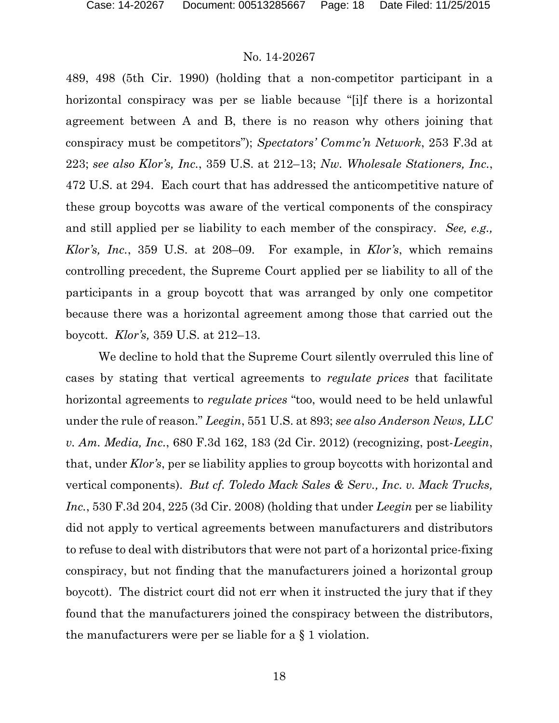489, 498 (5th Cir. 1990) (holding that a non-competitor participant in a horizontal conspiracy was per se liable because "[i]f there is a horizontal agreement between A and B, there is no reason why others joining that conspiracy must be competitors"); *Spectators' Commc'n Network*, 253 F.3d at 223; *see also Klor's, Inc.*, 359 U.S. at 212–13; *Nw. Wholesale Stationers, Inc.*, 472 U.S. at 294. Each court that has addressed the anticompetitive nature of these group boycotts was aware of the vertical components of the conspiracy and still applied per se liability to each member of the conspiracy. *See, e.g., Klor's, Inc.*, 359 U.S. at 208–09. For example, in *Klor's*, which remains controlling precedent, the Supreme Court applied per se liability to all of the participants in a group boycott that was arranged by only one competitor because there was a horizontal agreement among those that carried out the boycott. *Klor's,* 359 U.S. at 212–13.

We decline to hold that the Supreme Court silently overruled this line of cases by stating that vertical agreements to *regulate prices* that facilitate horizontal agreements to *regulate prices* "too, would need to be held unlawful under the rule of reason." *Leegin*, 551 U.S. at 893; *see also Anderson News, LLC v. Am. Media, Inc.*, 680 F.3d 162, 183 (2d Cir. 2012) (recognizing, post-*Leegin*, that, under *Klor's*, per se liability applies to group boycotts with horizontal and vertical components). *But cf. Toledo Mack Sales & Serv., Inc. v. Mack Trucks, Inc.*, 530 F.3d 204, 225 (3d Cir. 2008) (holding that under *Leegin* per se liability did not apply to vertical agreements between manufacturers and distributors to refuse to deal with distributors that were not part of a horizontal price-fixing conspiracy, but not finding that the manufacturers joined a horizontal group boycott). The district court did not err when it instructed the jury that if they found that the manufacturers joined the conspiracy between the distributors, the manufacturers were per se liable for a § 1 violation.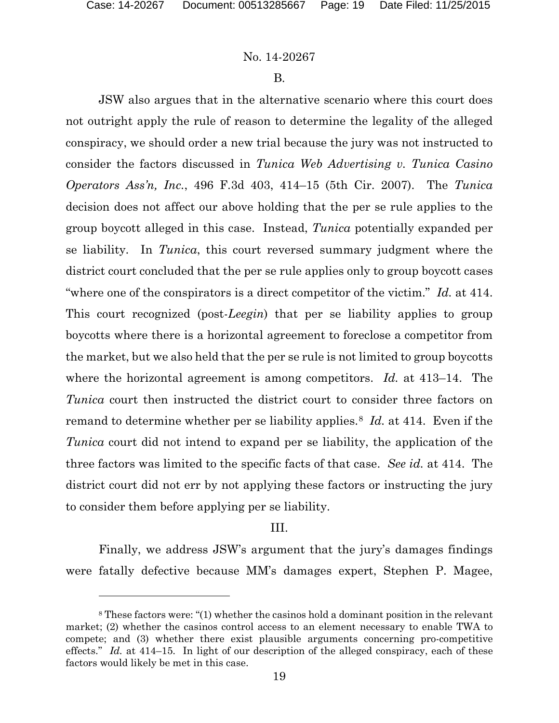l

### No. 14-20267

#### B.

JSW also argues that in the alternative scenario where this court does not outright apply the rule of reason to determine the legality of the alleged conspiracy, we should order a new trial because the jury was not instructed to consider the factors discussed in *Tunica Web Advertising v. Tunica Casino Operators Ass'n, Inc.*, 496 F.3d 403, 414–15 (5th Cir. 2007). The *Tunica* decision does not affect our above holding that the per se rule applies to the group boycott alleged in this case. Instead, *Tunica* potentially expanded per se liability. In *Tunica*, this court reversed summary judgment where the district court concluded that the per se rule applies only to group boycott cases "where one of the conspirators is a direct competitor of the victim." *Id.* at 414. This court recognized (post-*Leegin*) that per se liability applies to group boycotts where there is a horizontal agreement to foreclose a competitor from the market, but we also held that the per se rule is not limited to group boycotts where the horizontal agreement is among competitors. *Id.* at 413–14. The *Tunica* court then instructed the district court to consider three factors on remand to determine whether per se liability applies.[8](#page-18-0) *Id.* at 414. Even if the *Tunica* court did not intend to expand per se liability, the application of the three factors was limited to the specific facts of that case. *See id.* at 414. The district court did not err by not applying these factors or instructing the jury to consider them before applying per se liability.

### III.

Finally, we address JSW's argument that the jury's damages findings were fatally defective because MM's damages expert, Stephen P. Magee,

<span id="page-18-0"></span><sup>8</sup> These factors were: "(1) whether the casinos hold a dominant position in the relevant market; (2) whether the casinos control access to an element necessary to enable TWA to compete; and (3) whether there exist plausible arguments concerning pro-competitive effects." *Id.* at 414–15. In light of our description of the alleged conspiracy, each of these factors would likely be met in this case.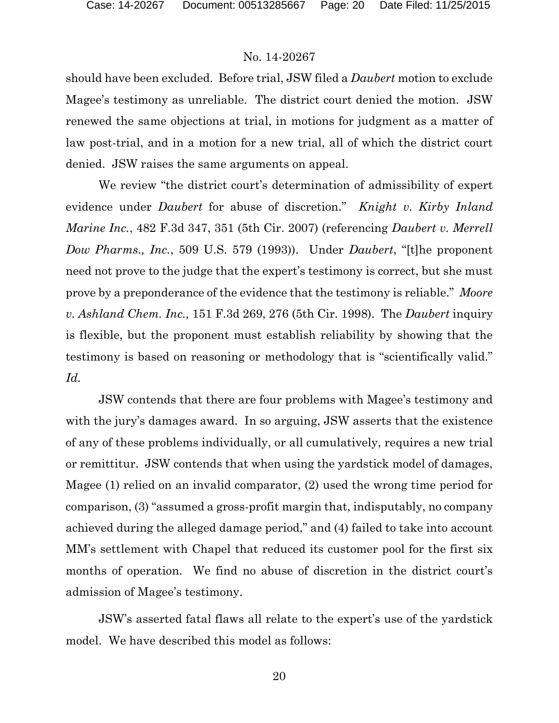should have been excluded. Before trial, JSW filed a *Daubert* motion to exclude Magee's testimony as unreliable. The district court denied the motion. JSW renewed the same objections at trial, in motions for judgment as a matter of law post-trial, and in a motion for a new trial, all of which the district court denied. JSW raises the same arguments on appeal.

We review "the district court's determination of admissibility of expert evidence under *Daubert* for abuse of discretion." *Knight v. Kirby Inland Marine Inc.*, 482 F.3d 347, 351 (5th Cir. 2007) (referencing *Daubert v. Merrell Dow Pharms., Inc.*, 509 U.S. 579 (1993)). Under *Daubert*, "[t]he proponent need not prove to the judge that the expert's testimony is correct, but she must prove by a preponderance of the evidence that the testimony is reliable." *Moore v. Ashland Chem. Inc.,* 151 F.3d 269, 276 (5th Cir. 1998). The *Daubert* inquiry is flexible, but the proponent must establish reliability by showing that the testimony is based on reasoning or methodology that is "scientifically valid." *Id.* 

JSW contends that there are four problems with Magee's testimony and with the jury's damages award. In so arguing, JSW asserts that the existence of any of these problems individually, or all cumulatively, requires a new trial or remittitur. JSW contends that when using the yardstick model of damages, Magee (1) relied on an invalid comparator, (2) used the wrong time period for comparison, (3) "assumed a gross-profit margin that, indisputably, no company achieved during the alleged damage period," and (4) failed to take into account MM's settlement with Chapel that reduced its customer pool for the first six months of operation. We find no abuse of discretion in the district court's admission of Magee's testimony.

JSW's asserted fatal flaws all relate to the expert's use of the yardstick model. We have described this model as follows: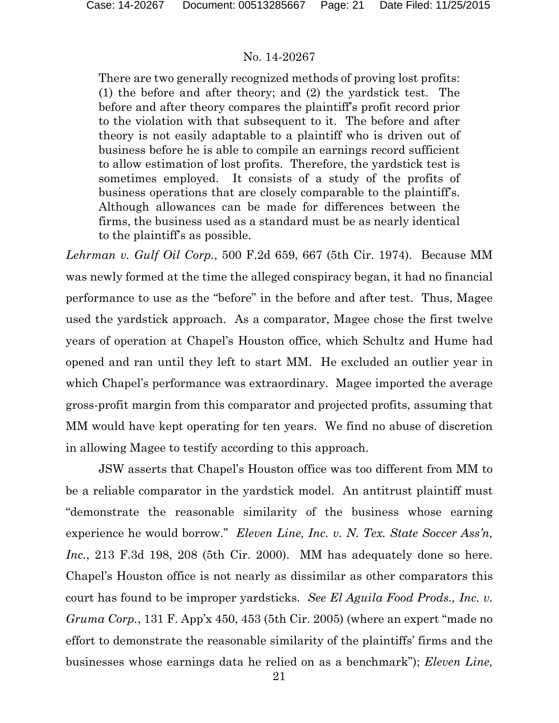There are two generally recognized methods of proving lost profits: (1) the before and after theory; and (2) the yardstick test. The before and after theory compares the plaintiff's profit record prior to the violation with that subsequent to it. The before and after theory is not easily adaptable to a plaintiff who is driven out of business before he is able to compile an earnings record sufficient to allow estimation of lost profits. Therefore, the yardstick test is sometimes employed. It consists of a study of the profits of business operations that are closely comparable to the plaintiff's. Although allowances can be made for differences between the firms, the business used as a standard must be as nearly identical to the plaintiff's as possible.

*Lehrman v. Gulf Oil Corp.*, 500 F.2d 659, 667 (5th Cir. 1974). Because MM was newly formed at the time the alleged conspiracy began, it had no financial performance to use as the "before" in the before and after test. Thus, Magee used the yardstick approach. As a comparator, Magee chose the first twelve years of operation at Chapel's Houston office, which Schultz and Hume had opened and ran until they left to start MM. He excluded an outlier year in which Chapel's performance was extraordinary. Magee imported the average gross-profit margin from this comparator and projected profits, assuming that MM would have kept operating for ten years. We find no abuse of discretion in allowing Magee to testify according to this approach.

JSW asserts that Chapel's Houston office was too different from MM to be a reliable comparator in the yardstick model. An antitrust plaintiff must "demonstrate the reasonable similarity of the business whose earning experience he would borrow." *Eleven Line, Inc. v. N. Tex. State Soccer Ass'n, Inc.*, 213 F.3d 198, 208 (5th Cir. 2000). MM has adequately done so here. Chapel's Houston office is not nearly as dissimilar as other comparators this court has found to be improper yardsticks. *See El Aguila Food Prods., Inc. v. Gruma Corp.*, 131 F. App'x 450, 453 (5th Cir. 2005) (where an expert "made no effort to demonstrate the reasonable similarity of the plaintiffs' firms and the businesses whose earnings data he relied on as a benchmark"); *Eleven Line,*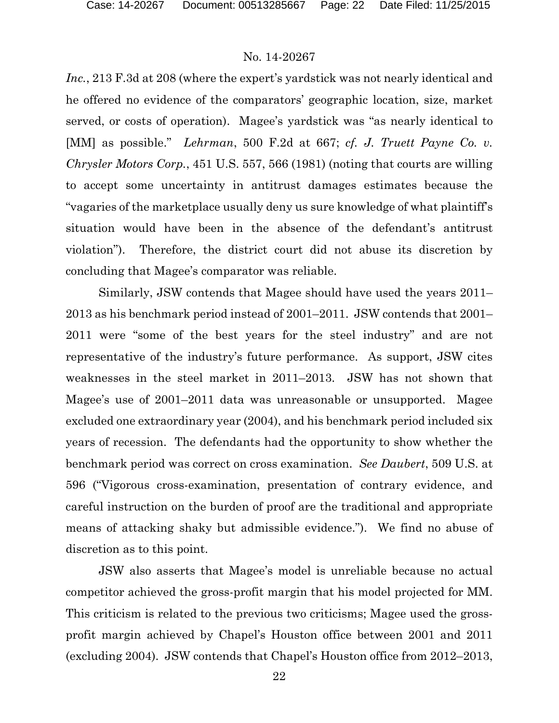*Inc.*, 213 F.3d at 208 (where the expert's yardstick was not nearly identical and he offered no evidence of the comparators' geographic location, size, market served, or costs of operation). Magee's yardstick was "as nearly identical to [MM] as possible." *Lehrman*, 500 F.2d at 667; *cf. J. Truett Payne Co. v. Chrysler Motors Corp.*, 451 U.S. 557, 566 (1981) (noting that courts are willing to accept some uncertainty in antitrust damages estimates because the "vagaries of the marketplace usually deny us sure knowledge of what plaintiff's situation would have been in the absence of the defendant's antitrust violation"). Therefore, the district court did not abuse its discretion by concluding that Magee's comparator was reliable.

Similarly, JSW contends that Magee should have used the years 2011– 2013 as his benchmark period instead of 2001–2011. JSW contends that 2001– 2011 were "some of the best years for the steel industry" and are not representative of the industry's future performance. As support, JSW cites weaknesses in the steel market in 2011–2013. JSW has not shown that Magee's use of 2001–2011 data was unreasonable or unsupported. Magee excluded one extraordinary year (2004), and his benchmark period included six years of recession. The defendants had the opportunity to show whether the benchmark period was correct on cross examination. *See Daubert*, 509 U.S. at 596 ("Vigorous cross-examination, presentation of contrary evidence, and careful instruction on the burden of proof are the traditional and appropriate means of attacking shaky but admissible evidence."). We find no abuse of discretion as to this point.

JSW also asserts that Magee's model is unreliable because no actual competitor achieved the gross-profit margin that his model projected for MM. This criticism is related to the previous two criticisms; Magee used the grossprofit margin achieved by Chapel's Houston office between 2001 and 2011 (excluding 2004). JSW contends that Chapel's Houston office from 2012–2013,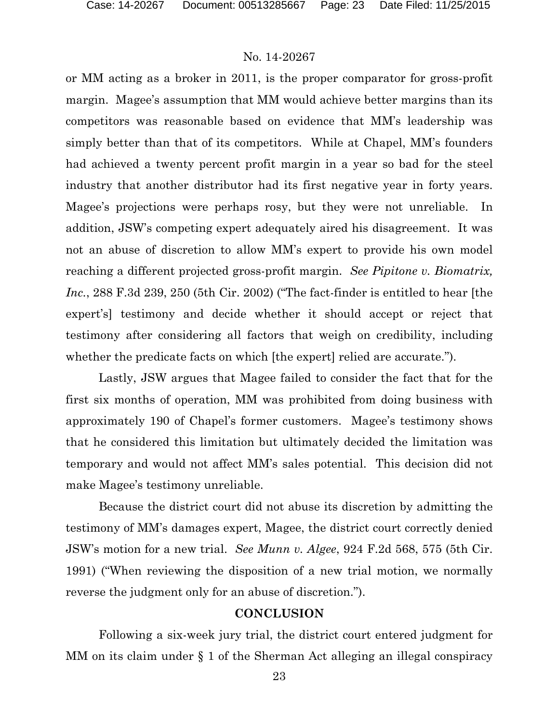or MM acting as a broker in 2011, is the proper comparator for gross-profit margin. Magee's assumption that MM would achieve better margins than its competitors was reasonable based on evidence that MM's leadership was simply better than that of its competitors. While at Chapel, MM's founders had achieved a twenty percent profit margin in a year so bad for the steel industry that another distributor had its first negative year in forty years. Magee's projections were perhaps rosy, but they were not unreliable. In addition, JSW's competing expert adequately aired his disagreement. It was not an abuse of discretion to allow MM's expert to provide his own model reaching a different projected gross-profit margin. *See Pipitone v. Biomatrix, Inc.*, 288 F.3d 239, 250 (5th Cir. 2002) ("The fact-finder is entitled to hear [the expert's] testimony and decide whether it should accept or reject that testimony after considering all factors that weigh on credibility, including whether the predicate facts on which [the expert] relied are accurate.").

Lastly, JSW argues that Magee failed to consider the fact that for the first six months of operation, MM was prohibited from doing business with approximately 190 of Chapel's former customers. Magee's testimony shows that he considered this limitation but ultimately decided the limitation was temporary and would not affect MM's sales potential. This decision did not make Magee's testimony unreliable.

Because the district court did not abuse its discretion by admitting the testimony of MM's damages expert, Magee, the district court correctly denied JSW's motion for a new trial. *See Munn v. Algee*, 924 F.2d 568, 575 (5th Cir. 1991) ("When reviewing the disposition of a new trial motion, we normally reverse the judgment only for an abuse of discretion.").

### **CONCLUSION**

Following a six-week jury trial, the district court entered judgment for MM on its claim under § 1 of the Sherman Act alleging an illegal conspiracy